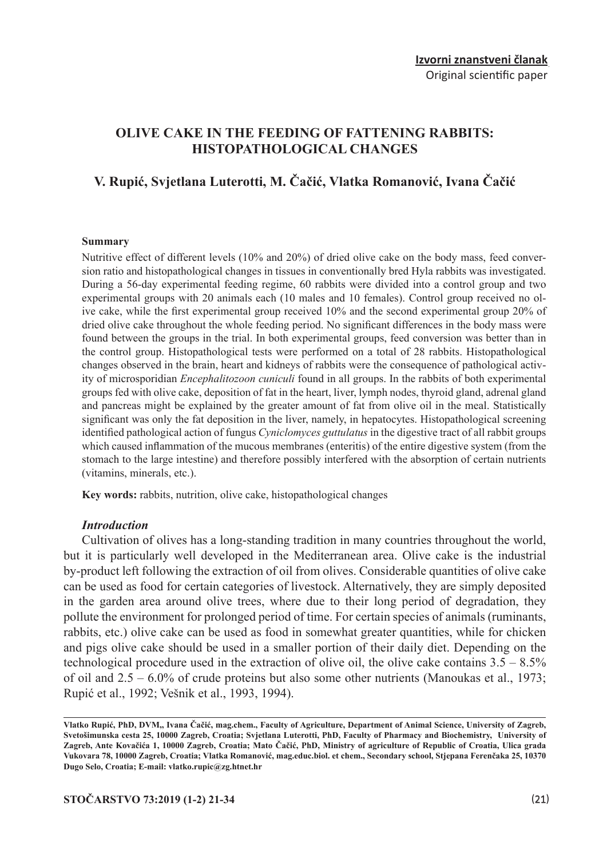## **OLIVE CAKE IN THE FEEDING OF FATTENING RABBITS: HISTOPATHOLOGICAL CHANGES**

# **V. Rupić, Svjetlana Luterotti, M. Čačić, Vlatka Romanović, Ivana Čačić**

#### **Summary**

Nutritive effect of different levels (10% and 20%) of dried olive cake on the body mass, feed conversion ratio and histopathological changes in tissues in conventionally bred Hyla rabbits was investigated. During a 56-day experimental feeding regime, 60 rabbits were divided into a control group and two experimental groups with 20 animals each (10 males and 10 females). Control group received no olive cake, while the first experimental group received 10% and the second experimental group 20% of dried olive cake throughout the whole feeding period. No significant differences in the body mass were found between the groups in the trial. In both experimental groups, feed conversion was better than in the control group. Histopathological tests were performed on a total of 28 rabbits. Histopathological changes observed in the brain, heart and kidneys of rabbits were the consequence of pathological activity of microsporidian *Encephalitozoon cuniculi* found in all groups. In the rabbits of both experimental groups fed with olive cake, deposition of fat in the heart, liver, lymph nodes, thyroid gland, adrenal gland and pancreas might be explained by the greater amount of fat from olive oil in the meal. Statistically significant was only the fat deposition in the liver, namely, in hepatocytes. Histopathological screening identified pathological action of fungus *Cyniclomyces guttulatus* in the digestive tract of all rabbit groups which caused inflammation of the mucous membranes (enteritis) of the entire digestive system (from the stomach to the large intestine) and therefore possibly interfered with the absorption of certain nutrients (vitamins, minerals, etc.).

**Key words:** rabbits, nutrition, olive cake, histopathological changes

#### *Introduction*

Cultivation of olives has a long-standing tradition in many countries throughout the world, but it is particularly well developed in the Mediterranean area. Olive cake is the industrial by-product left following the extraction of oil from olives. Considerable quantities of olive cake can be used as food for certain categories of livestock. Alternatively, they are simply deposited in the garden area around olive trees, where due to their long period of degradation, they pollute the environment for prolonged period of time. For certain species of animals (ruminants, rabbits, etc.) olive cake can be used as food in somewhat greater quantities, while for chicken and pigs olive cake should be used in a smaller portion of their daily diet. Depending on the technological procedure used in the extraction of olive oil, the olive cake contains  $3.5 - 8.5\%$ of oil and 2.5 – 6.0% of crude proteins but also some other nutrients (Manoukas et al., 1973; Rupić et al., 1992; Vešnik et al., 1993, 1994).

**Vlatko Rupić, PhD, DVM,, Ivana Čačić, mag.chem., Faculty of Agriculture, Department of Animal Science, University of Zagreb, Svetošimunska cesta 25, 10000 Zagreb, Croatia; Svjetlana Luterotti, PhD, Faculty of Pharmacy and Biochemistry, University of Zagreb, Ante Kovačića 1, 10000 Zagreb, Croatia; Mato Čačić, PhD, Ministry of agriculture of Republic of Croatia, Ulica grada Vukovara 78, 10000 Zagreb, Croatia; Vlatka Romanović, mag.educ.biol. et chem., Secondary school, Stjepana Ferenčaka 25, 10370 Dugo Selo, Croatia; E-mail: vlatko.rupic@zg.htnet.hr**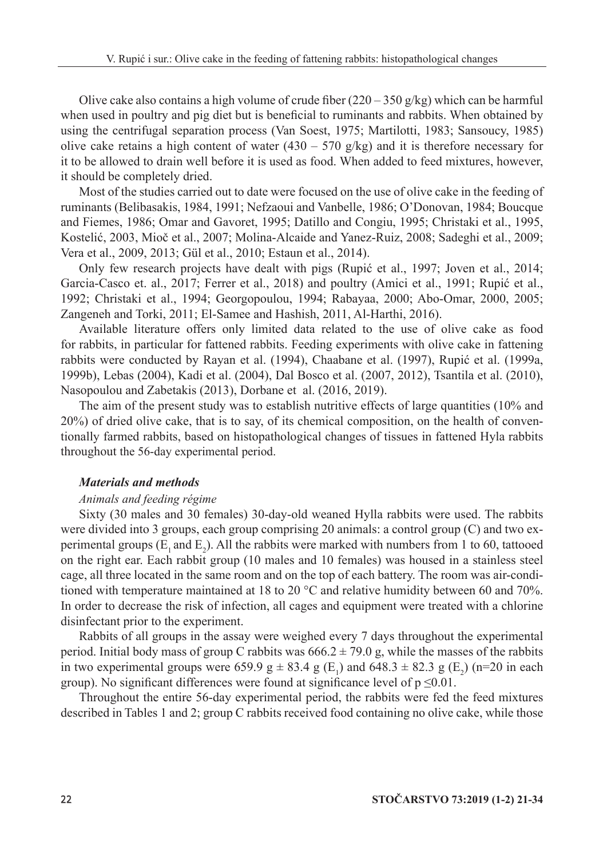Olive cake also contains a high volume of crude fiber  $(220 - 350)$  g/kg) which can be harmful when used in poultry and pig diet but is beneficial to ruminants and rabbits. When obtained by using the centrifugal separation process (Van Soest, 1975; Martilotti, 1983; Sansoucy, 1985) olive cake retains a high content of water  $(430 - 570)$  g/kg) and it is therefore necessary for it to be allowed to drain well before it is used as food. When added to feed mixtures, however, it should be completely dried.

Most of the studies carried out to date were focused on the use of olive cake in the feeding of ruminants (Belibasakis, 1984, 1991; Nefzaoui and Vanbelle, 1986; O'Donovan, 1984; Boucque and Fiemes, 1986; Omar and Gavoret, 1995; Datillo and Congiu, 1995; Christaki et al., 1995, Kostelić, 2003, Mioč et al., 2007; Molina-Alcaide and Yanez-Ruiz, 2008; Sadeghi et al., 2009; Vera et al., 2009, 2013; Gül et al., 2010; Estaun et al., 2014).

Only few research projects have dealt with pigs (Rupić et al., 1997; Joven et al., 2014; Garcia-Casco et. al., 2017; Ferrer et al., 2018) and poultry (Amici et al., 1991; Rupić et al., 1992; Christaki et al., 1994; Georgopoulou, 1994; Rabayaa, 2000; Abo-Omar, 2000, 2005; Zangeneh and Torki, 2011; El-Samee and Hashish, 2011, Al-Harthi, 2016).

Available literature offers only limited data related to the use of olive cake as food for rabbits, in particular for fattened rabbits. Feeding experiments with olive cake in fattening rabbits were conducted by Rayan et al. (1994), Chaabane et al. (1997), Rupić et al. (1999a, 1999b), Lebas (2004), Kadi et al. (2004), Dal Bosco et al. (2007, 2012), Tsantila et al. (2010), Nasopoulou and Zabetakis (2013), Dorbane et al. (2016, 2019).

The aim of the present study was to establish nutritive effects of large quantities (10% and 20%) of dried olive cake, that is to say, of its chemical composition, on the health of conventionally farmed rabbits, based on histopathological changes of tissues in fattened Hyla rabbits throughout the 56-day experimental period.

## *Materials and methods*

## *Animals and feeding régime*

Sixty (30 males and 30 females) 30-day-old weaned Hylla rabbits were used. The rabbits were divided into 3 groups, each group comprising 20 animals: a control group (C) and two experimental groups  $(E_1 \text{ and } E_2)$ . All the rabbits were marked with numbers from 1 to 60, tattooed on the right ear. Each rabbit group (10 males and 10 females) was housed in a stainless steel cage, all three located in the same room and on the top of each battery. The room was air-conditioned with temperature maintained at 18 to 20 °C and relative humidity between 60 and 70%. In order to decrease the risk of infection, all cages and equipment were treated with a chlorine disinfectant prior to the experiment.

Rabbits of all groups in the assay were weighed every 7 days throughout the experimental period. Initial body mass of group C rabbits was  $666.2 \pm 79.0$  g, while the masses of the rabbits in two experimental groups were 659.9  $g \pm 83.4$  g (E<sub>1</sub>) and 648.3  $\pm 82.3$  g (E<sub>2</sub>) (n=20 in each group). No significant differences were found at significance level of  $p \le 0.01$ .

Throughout the entire 56-day experimental period, the rabbits were fed the feed mixtures described in Tables 1 and 2; group C rabbits received food containing no olive cake, while those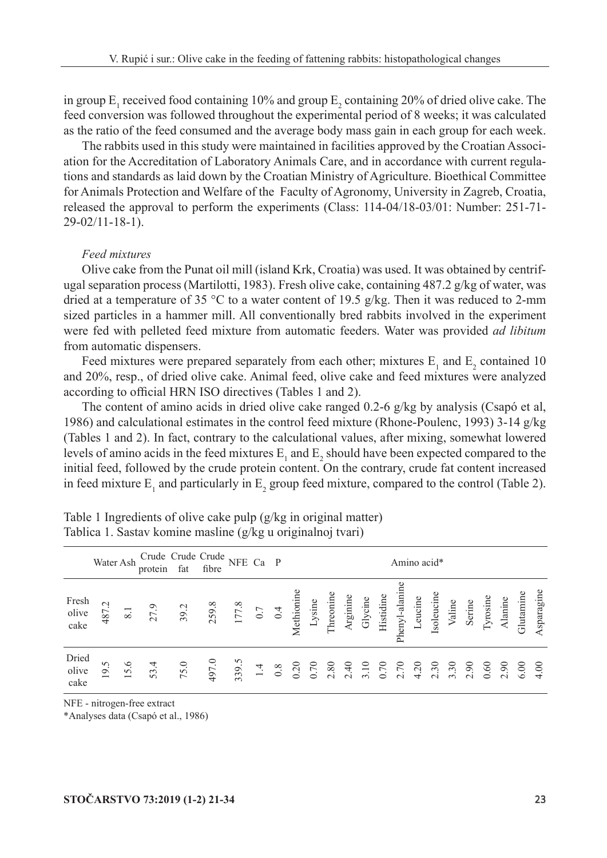in group  $E_1$  received food containing 10% and group  $E_2$  containing 20% of dried olive cake. The feed conversion was followed throughout the experimental period of 8 weeks; it was calculated as the ratio of the feed consumed and the average body mass gain in each group for each week.

The rabbits used in this study were maintained in facilities approved by the Croatian Association for the Accreditation of Laboratory Animals Care, and in accordance with current regulations and standards as laid down by the Croatian Ministry of Agriculture. Bioethical Committee for Animals Protection and Welfare of the Faculty of Agronomy, University in Zagreb, Croatia, released the approval to perform the experiments (Class: 114-04/18-03/01: Number: 251-71- 29-02/11-18-1).

### *Feed mixtures*

Olive cake from the Punat oil mill (island Krk, Croatia) was used. It was obtained by centrifugal separation process (Martilotti, 1983). Fresh olive cake, containing 487.2 g/kg of water, was dried at a temperature of 35 °C to a water content of 19.5 g/kg. Then it was reduced to 2-mm sized particles in a hammer mill. All conventionally bred rabbits involved in the experiment were fed with pelleted feed mixture from automatic feeders. Water was provided *ad libitum* from automatic dispensers.

Feed mixtures were prepared separately from each other; mixtures  $E_1$  and  $E_2$  contained 10 and 20%, resp., of dried olive cake. Animal feed, olive cake and feed mixtures were analyzed according to official HRN ISO directives (Tables 1 and 2).

The content of amino acids in dried olive cake ranged 0.2-6 g/kg by analysis (Csapó et al, 1986) and calculational estimates in the control feed mixture (Rhone-Poulenc, 1993) 3-14 g/kg (Tables 1 and 2). In fact, contrary to the calculational values, after mixing, somewhat lowered levels of amino acids in the feed mixtures  $E_1$  and  $E_2$  should have been expected compared to the initial feed, followed by the crude protein content. On the contrary, crude fat content increased in feed mixture  $E_1$  and particularly in  $E_2$  group feed mixture, compared to the control (Table 2).

|                        |       |      | Water Ash Crude Crude Crude NFE Ca P<br>protein fat fibre NFE Ca P |                                                                                                                                                                                                                                                                          |  |  |  |  |  | Amino acid* |  |  |  |  |
|------------------------|-------|------|--------------------------------------------------------------------|--------------------------------------------------------------------------------------------------------------------------------------------------------------------------------------------------------------------------------------------------------------------------|--|--|--|--|--|-------------|--|--|--|--|
| Fresh<br>olive<br>cake | 487.2 |      | $8.1$<br>$27.9$                                                    | 39.2<br>$177.8$<br>$177.8$<br>$177.8$<br>$177.8$<br>$193.104$<br>$195.104$<br>$195.104$<br>$195.104$<br>$195.104$<br>$195.104$<br>$195.104$<br>$195.104$<br>$195.104$<br>$195.104$<br>$195.104$<br>$195.104$<br>$195.104$<br>$195.104$<br>$195.104$<br>$195.104$<br>$19$ |  |  |  |  |  |             |  |  |  |  |
| Dried<br>olive<br>cake | 19.5  | 15.6 | 53.4                                                               | 75.0                                                                                                                                                                                                                                                                     |  |  |  |  |  |             |  |  |  |  |

Table 1 Ingredients of olive cake pulp (g/kg in original matter) Tablica 1. Sastav komine masline (g/kg u originalnoj tvari)

NFE - nitrogen-free extract

\*Analyses data (Csapó et al., 1986)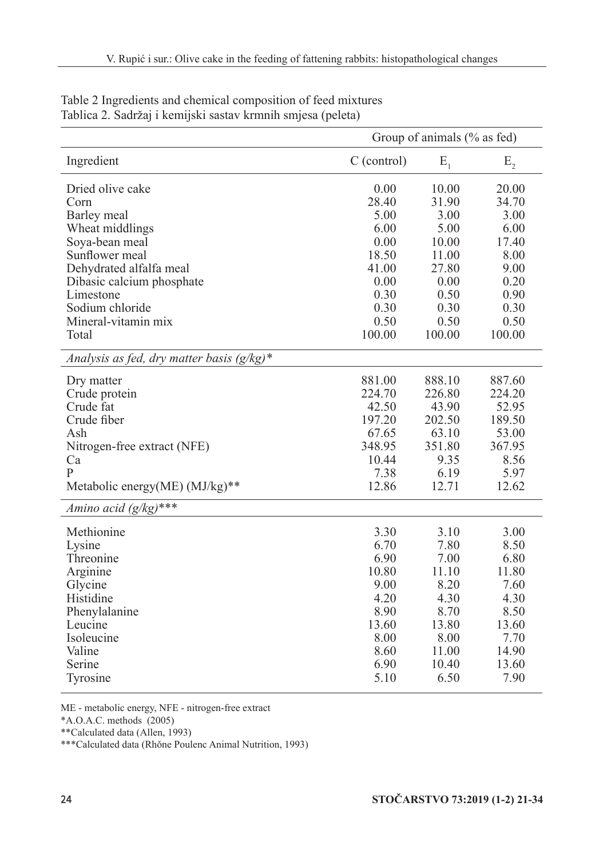|                                              | Group of animals $(\%$ as fed) |         |         |  |  |
|----------------------------------------------|--------------------------------|---------|---------|--|--|
| Ingredient                                   | $C$ (control)                  | $E_{1}$ | $E_{2}$ |  |  |
| Dried olive cake                             | 0.00                           | 10.00   | 20.00   |  |  |
| Corn                                         | 28.40                          | 31.90   | 34.70   |  |  |
| Barley meal                                  | 5.00                           | 3.00    | 3.00    |  |  |
| Wheat middlings                              | 6.00                           | 5.00    | 6.00    |  |  |
| Soya-bean meal                               | 0.00                           | 10.00   | 17.40   |  |  |
| Sunflower meal                               | 18.50                          | 11.00   | 8.00    |  |  |
| Dehydrated alfalfa meal                      | 41.00                          | 27.80   | 9.00    |  |  |
| Dibasic calcium phosphate                    | 0.00                           | 0.00    | 0.20    |  |  |
| Limestone                                    | 0.30                           | 0.50    | 0.90    |  |  |
| Sodium chloride                              | 0.30                           | 0.30    | 0.30    |  |  |
| Mineral-vitamin mix                          | 0.50                           | 0.50    | 0.50    |  |  |
| Total                                        | 100.00                         | 100.00  | 100.00  |  |  |
| Analysis as fed, dry matter basis $(g/kg)^*$ |                                |         |         |  |  |
| Dry matter                                   | 881.00                         | 888.10  | 887.60  |  |  |
| Crude protein                                | 224.70                         | 226.80  | 224.20  |  |  |
| Crude fat                                    | 42.50                          | 43.90   | 52.95   |  |  |
| Crude fiber                                  | 197.20                         | 202.50  | 189.50  |  |  |
| Ash                                          | 67.65                          | 63.10   | 53.00   |  |  |
| Nitrogen-free extract (NFE)                  | 348.95                         | 351.80  | 367.95  |  |  |
| Ca                                           | 10.44                          | 9.35    | 8.56    |  |  |
| $\mathsf{P}$                                 | 7.38                           | 6.19    | 5.97    |  |  |
| Metabolic energy(ME) (MJ/kg)**               | 12.86                          | 12.71   | 12.62   |  |  |
| Amino acid $(g/kg)$ ***                      |                                |         |         |  |  |
| Methionine                                   | 3.30                           | 3.10    | 3.00    |  |  |
| Lysine                                       | 6.70                           | 7.80    | 8.50    |  |  |
| Threonine                                    | 6.90                           | 7.00    | 6.80    |  |  |
| Arginine                                     | 10.80                          | 11.10   | 11.80   |  |  |
| Glycine                                      | 9.00                           | 8.20    | 7.60    |  |  |
| Histidine                                    | 4.20                           | 4.30    | 4.30    |  |  |
| Phenylalanine                                | 8.90                           | 8.70    | 8.50    |  |  |
| Leucine                                      | 13.60                          | 13.80   | 13.60   |  |  |
| Isoleucine                                   | 8.00                           | 8.00    | 7.70    |  |  |
| Valine                                       | 8.60                           | 11.00   | 14.90   |  |  |
| Serine                                       | 6.90                           | 10.40   | 13.60   |  |  |
| Tyrosine                                     | 5.10                           | 6.50    | 7.90    |  |  |

Table 2 Ingredients and chemical composition of feed mixtures Tablica 2. Sadržaj i kemijski sastav krmnih smjesa (peleta)

ME - metabolic energy, NFE - nitrogen-free extract

 $*$ A.O.A.C. methods (2005)

\*\*Calculated data (Allen, 1993)

\*\*\*Calculated data (Rhǒne Poulenc Animal Nutrition, 1993)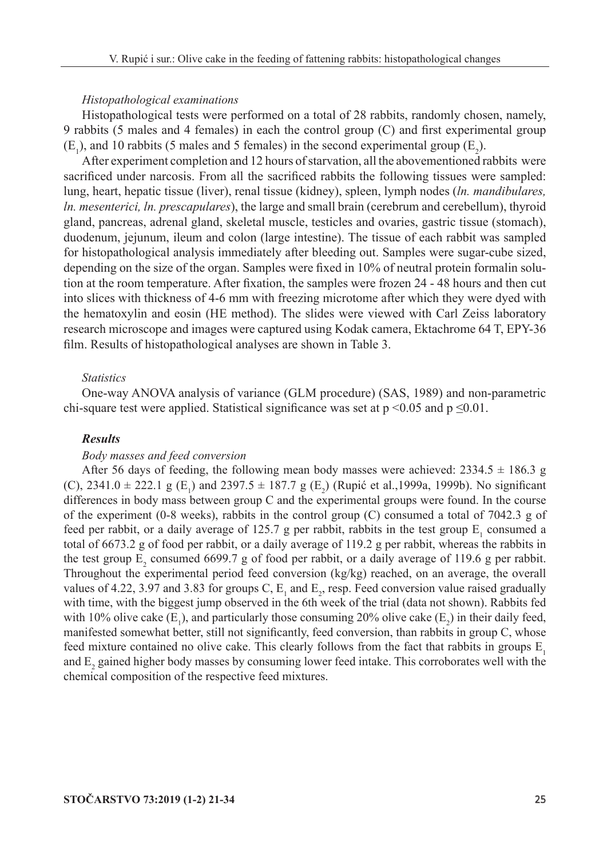#### *Histopathological examinations*

Histopathological tests were performed on a total of 28 rabbits, randomly chosen, namely, 9 rabbits (5 males and 4 females) in each the control group (C) and first experimental group  $(E_1)$ , and 10 rabbits (5 males and 5 females) in the second experimental group  $(E_2)$ .

After experiment completion and 12 hours of starvation, all the abovementioned rabbits were sacrificed under narcosis. From all the sacrificed rabbits the following tissues were sampled: lung, heart, hepatic tissue (liver), renal tissue (kidney), spleen, lymph nodes (*ln. mandibulares, ln. mesenterici, ln. prescapulares*), the large and small brain (cerebrum and cerebellum), thyroid gland, pancreas, adrenal gland, skeletal muscle, testicles and ovaries, gastric tissue (stomach), duodenum, jejunum, ileum and colon (large intestine). The tissue of each rabbit was sampled for histopathological analysis immediately after bleeding out. Samples were sugar-cube sized, depending on the size of the organ. Samples were fixed in 10% of neutral protein formalin solution at the room temperature. After fixation, the samples were frozen 24 - 48 hours and then cut into slices with thickness of 4-6 mm with freezing microtome after which they were dyed with the hematoxylin and eosin (HE method). The slides were viewed with Carl Zeiss laboratory research microscope and images were captured using Kodak camera, Ektachrome 64 T, EPY-36 film. Results of histopathological analyses are shown in Table 3.

## *Statistics*

One-way ANOVA analysis of variance (GLM procedure) (SAS, 1989) and non-parametric chi-square test were applied. Statistical significance was set at  $p \le 0.05$  and  $p \le 0.01$ .

### *Results*

#### *Body masses and feed conversion*

After 56 days of feeding, the following mean body masses were achieved:  $2334.5 \pm 186.3$  g (C), 2341.0  $\pm$  222.1 g (E<sub>1</sub>) and 2397.5  $\pm$  187.7 g (E<sub>2</sub>) (Rupić et al.,1999a, 1999b). No significant differences in body mass between group C and the experimental groups were found. In the course of the experiment (0-8 weeks), rabbits in the control group (C) consumed a total of 7042.3 g of feed per rabbit, or a daily average of 125.7 g per rabbit, rabbits in the test group  $E_1$  consumed a total of 6673.2 g of food per rabbit, or a daily average of 119.2 g per rabbit, whereas the rabbits in the test group  $E_2$  consumed 6699.7 g of food per rabbit, or a daily average of 119.6 g per rabbit. Throughout the experimental period feed conversion (kg/kg) reached, on an average, the overall values of 4.22, 3.97 and 3.83 for groups C,  $E_1$  and  $E_2$ , resp. Feed conversion value raised gradually with time, with the biggest jump observed in the 6th week of the trial (data not shown). Rabbits fed with 10% olive cake  $(E_1)$ , and particularly those consuming 20% olive cake  $(E_2)$  in their daily feed, manifested somewhat better, still not significantly, feed conversion, than rabbits in group C, whose feed mixture contained no olive cake. This clearly follows from the fact that rabbits in groups  $E_1$ and  $E_2$  gained higher body masses by consuming lower feed intake. This corroborates well with the chemical composition of the respective feed mixtures.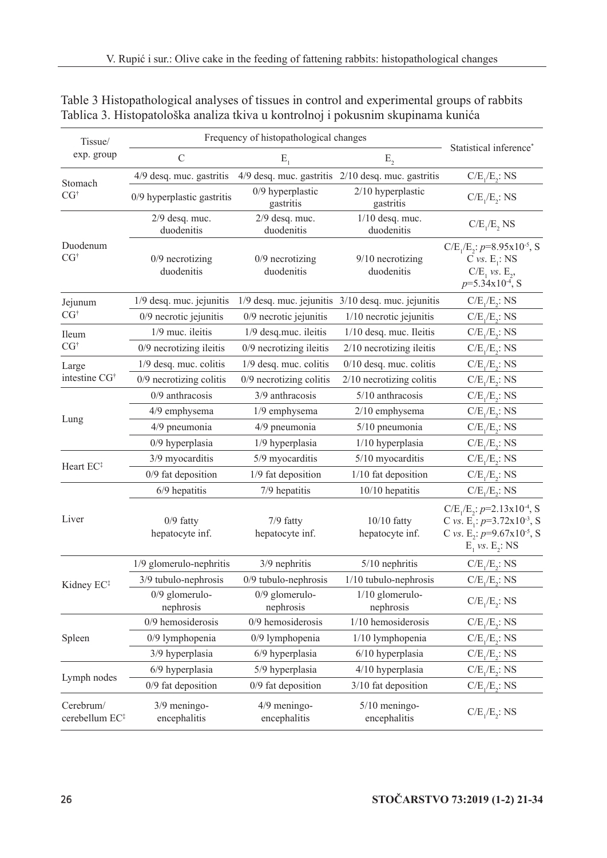| Tissue/                                 | Frequency of histopathological changes |                                 |                                                        |                                                                                                                                                                 |  |  |
|-----------------------------------------|----------------------------------------|---------------------------------|--------------------------------------------------------|-----------------------------------------------------------------------------------------------------------------------------------------------------------------|--|--|
| exp. group                              | $\mathcal{C}$                          | $E_{1}$                         | $E_{2}$                                                | Statistical inference*                                                                                                                                          |  |  |
| Stomach                                 | 4/9 desq. muc. gastritis               |                                 | 4/9 desq. muc. gastritis 2/10 desq. muc. gastritis     | $C/E_1/E_2$ : NS                                                                                                                                                |  |  |
| CG <sup>†</sup>                         | 0/9 hyperplastic gastritis             | 0/9 hyperplastic<br>gastritis   | $2/10$ hyperplastic<br>gastritis                       | $C/E_1/E_2$ : NS                                                                                                                                                |  |  |
|                                         | $2/9$ desq. muc.<br>duodenitis         | $2/9$ desq. muc.<br>duodenitis  | $1/10$ desq. muc.<br>duodenitis                        | $C/E_1/E_2$ , NS                                                                                                                                                |  |  |
| Duodenum<br>CG <sup>†</sup>             | $0/9$ necrotizing<br>duodenitis        | $0/9$ necrotizing<br>duodenitis | $9/10$ necrotizing<br>duodenitis                       | $C/E_1/E_2$ : $p=8.95x10^{-5}$ , S<br>$C vs. E_1 : NS$<br>$C/E_1$ vs. $E_2$ ,<br>$p=5.34\times10^{-4}$ , S                                                      |  |  |
| Jejunum                                 | 1/9 desq. muc. jejunitis               |                                 | $1/9$ desq. muc. jejunitis $3/10$ desq. muc. jejunitis | $C/E_1/E_2$ : NS                                                                                                                                                |  |  |
| CG <sup>†</sup>                         | $0/9$ necrotic jejunitis               | $0/9$ necrotic jejunitis        | $1/10$ necrotic jejunitis                              | $C/E_1/E_2$ : NS                                                                                                                                                |  |  |
| Ileum                                   | 1/9 muc. ileitis                       | 1/9 desq.muc. ileitis           | 1/10 desq. muc. Ileitis                                | $C/E_1/E_2$ : NS                                                                                                                                                |  |  |
| $CG^{\dagger}$                          | 0/9 necrotizing ileitis                | 0/9 necrotizing ileitis         | 2/10 necrotizing ileitis                               | $C/E_1/E_2$ : NS                                                                                                                                                |  |  |
| Large                                   | 1/9 desq. muc. colitis                 | 1/9 desq. muc. colitis          | $0/10$ desq. muc. colitis                              | $C/E_1/E_2$ : NS                                                                                                                                                |  |  |
| intestine CG <sup>+</sup>               | 0/9 necrotizing colitis                | 0/9 necrotizing colitis         | 2/10 necrotizing colitis                               | $C/E_1/E_2$ : NS                                                                                                                                                |  |  |
|                                         | $0/9$ anthracosis                      | 3/9 anthracosis                 | 5/10 anthracosis                                       | $C/E_1/E_2$ : NS                                                                                                                                                |  |  |
|                                         | 4/9 emphysema                          | 1/9 emphysema                   | 2/10 emphysema                                         | $C/E_1/E_2$ : NS                                                                                                                                                |  |  |
| Lung                                    | 4/9 pneumonia                          | 4/9 pneumonia                   | $5/10$ pneumonia                                       | $C/E_1/E_2$ : NS                                                                                                                                                |  |  |
|                                         | 0/9 hyperplasia                        | 1/9 hyperplasia                 | 1/10 hyperplasia                                       | $C/E_1/E_2$ : NS                                                                                                                                                |  |  |
| Heart EC <sup>#</sup>                   | 3/9 myocarditis                        | 5/9 myocarditis                 | 5/10 myocarditis                                       | $C/E_1/E_2$ : NS                                                                                                                                                |  |  |
|                                         | 0/9 fat deposition                     | 1/9 fat deposition              | 1/10 fat deposition                                    | $C/E_1/E_2$ : NS                                                                                                                                                |  |  |
|                                         | 6/9 hepatitis                          | 7/9 hepatitis                   | $10/10$ hepatitis                                      | $C/E_1/E_2$ : NS                                                                                                                                                |  |  |
| Liver                                   | $0/9$ fatty<br>hepatocyte inf.         | 7/9 fatty<br>hepatocyte inf.    | $10/10$ fatty<br>hepatocyte inf.                       | $C/E_1/E_2$ : $p=2.13x10^{-4}$ , S<br>C vs. E <sub>1</sub> : $p=3.72 \times 10^{-3}$ , S<br>C vs. E <sub>2</sub> : $p=9.67x10^{-5}$ , S<br>$E_1$ vs. $E_2$ : NS |  |  |
|                                         | 1/9 glomerulo-nephritis                | 3/9 nephritis                   | $5/10$ nephritis                                       | $C/E_1/E_2$ : NS                                                                                                                                                |  |  |
| Kidney EC <sup>‡</sup>                  | 3/9 tubulo-nephrosis                   | $0/9$ tubulo-nephrosis          | $1/10$ tubulo-nephrosis                                | $C/E_1/E_2$ : NS                                                                                                                                                |  |  |
|                                         | $0/9$ glomerulo-<br>nephrosis          | $0/9$ glomerulo-<br>nephrosis   | 1/10 glomerulo-<br>nephrosis                           | $C/E_1/E_2$ : NS                                                                                                                                                |  |  |
|                                         | 0/9 hemosiderosis                      | 0/9 hemosiderosis               | 1/10 hemosiderosis                                     | $C/E_1/E_2$ : NS                                                                                                                                                |  |  |
| Spleen                                  | 0/9 lymphopenia                        | 0/9 lymphopenia                 | 1/10 lymphopenia                                       | $C/E_1/E_2$ : NS                                                                                                                                                |  |  |
|                                         | 3/9 hyperplasia                        | 6/9 hyperplasia                 | $6/10$ hyperplasia                                     | $C/E_1/E_2$ : NS                                                                                                                                                |  |  |
| Lymph nodes                             | 6/9 hyperplasia                        | 5/9 hyperplasia                 | 4/10 hyperplasia                                       | $C/E_1/E_2$ : NS                                                                                                                                                |  |  |
|                                         | 0/9 fat deposition                     | 0/9 fat deposition              | 3/10 fat deposition                                    | $C/E_1/E_2$ : NS                                                                                                                                                |  |  |
| Cerebrum/<br>cerebellum EC <sup>#</sup> | 3/9 meningo-<br>encephalitis           | 4/9 meningo-<br>encephalitis    | $5/10$ meningo-<br>encephalitis                        | $C/E_1/E_2$ : NS                                                                                                                                                |  |  |

| Table 3 Histopathological analyses of tissues in control and experimental groups of rabbits |  |
|---------------------------------------------------------------------------------------------|--|
| Tablica 3. Histopatološka analiza tkiva u kontrolnoj i pokusnim skupinama kunića            |  |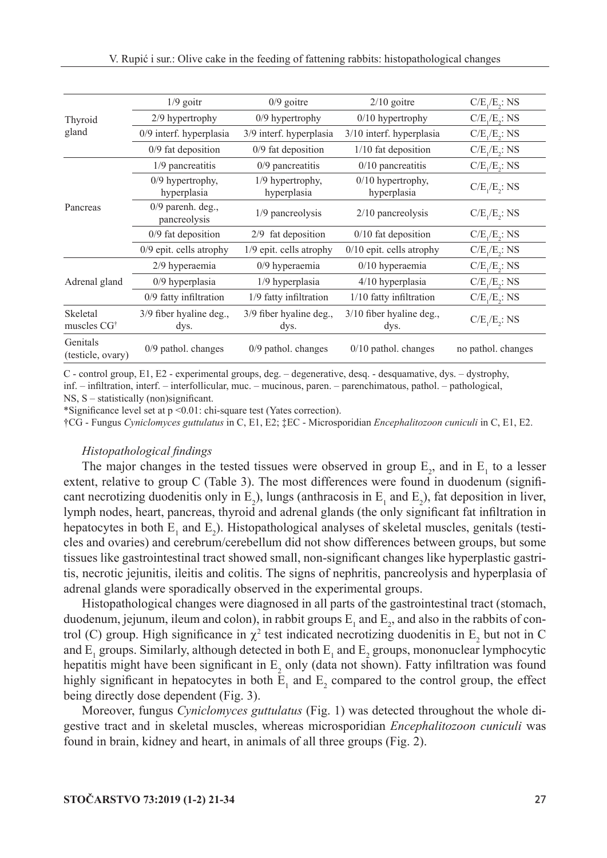|                               | $1/9$ goitr                         | $0/9$ goitre                    | $2/10$ goitre                      | $C/E_1/E_2$ : NS   |
|-------------------------------|-------------------------------------|---------------------------------|------------------------------------|--------------------|
| Thyroid                       | 2/9 hypertrophy                     | 0/9 hypertrophy                 | $0/10$ hypertrophy                 | $C/E_1/E_2$ : NS   |
| gland                         | 0/9 interf. hyperplasia             | 3/9 interf. hyperplasia         | $3/10$ interf. hyperplasia         | $C/E_1/E_2$ : NS   |
|                               | $0/9$ fat deposition                | 0/9 fat deposition              | 1/10 fat deposition                | $C/E_1/E_2$ : NS   |
|                               | 1/9 pancreatitis                    | $0/9$ pancreatitis              | $0/10$ pancreatitis                | $C/E_1/E_2$ : NS   |
|                               | 0/9 hypertrophy,<br>hyperplasia     | 1/9 hypertrophy,<br>hyperplasia | $0/10$ hypertrophy,<br>hyperplasia | $C/E_1/E_2$ : NS   |
| Pancreas                      | $0/9$ parenh. deg.,<br>pancreolysis | 1/9 pancreolysis                | $2/10$ pancreolysis                | $C/E_1/E_2$ : NS   |
|                               | $0/9$ fat deposition                | $2/9$ fat deposition            | $0/10$ fat deposition              | $C/E_1/E_2$ : NS   |
|                               | $0/9$ epit. cells atrophy           | 1/9 epit. cells atrophy         | $0/10$ epit. cells atrophy         | $C/E_1/E_2$ : NS   |
|                               | 2/9 hyperaemia                      | $0/9$ hyperaemia                | $0/10$ hyperaemia                  | $C/E_1/E_2$ : NS   |
| Adrenal gland                 | $0/9$ hyperplasia                   | $1/9$ hyperplasia               | 4/10 hyperplasia                   | $C/E_1/E_2$ : NS   |
|                               | 0/9 fatty infiltration              | 1/9 fatty infiltration          | 1/10 fatty infiltration            | $C/E_1/E_2$ : NS   |
| Skeletal<br>muscles $CG†$     | 3/9 fiber hyaline deg.,<br>dys.     | 3/9 fiber hyaline deg.,<br>dys. | 3/10 fiber hyaline deg.,<br>dys.   | $C/E_1/E_2$ : NS   |
| Genitals<br>(testicle, ovary) | $0/9$ pathol. changes               | $0/9$ pathol. changes           | $0/10$ pathol. changes             | no pathol. changes |

C - control group, E1, E2 - experimental groups, deg. – degenerative, desq. - desquamative, dys. – dystrophy, inf. – infiltration, interf. – interfollicular, muc. – mucinous, paren. – parenchimatous, pathol. – pathological,

NS, S – statistically (non)significant.

\*Significance level set at p <0.01: chi-square test (Yates correction).

†CG - Fungus *Cyniclomyces guttulatus* in C, E1, E2; ‡EC - Microsporidian *Encephalitozoon cuniculi* in C, E1, E2.

#### *Histopathological findings*

The major changes in the tested tissues were observed in group  $E_2$ , and in  $E_1$  to a lesser extent, relative to group C (Table 3). The most differences were found in duodenum (significant necrotizing duodenitis only in  $E_2$ ), lungs (anthracosis in  $E_1$  and  $E_2$ ), fat deposition in liver, lymph nodes, heart, pancreas, thyroid and adrenal glands (the only significant fat infiltration in hepatocytes in both  $E_1$  and  $E_2$ ). Histopathological analyses of skeletal muscles, genitals (testicles and ovaries) and cerebrum/cerebellum did not show differences between groups, but some tissues like gastrointestinal tract showed small, non-significant changes like hyperplastic gastritis, necrotic jejunitis, ileitis and colitis. The signs of nephritis, pancreolysis and hyperplasia of adrenal glands were sporadically observed in the experimental groups.

Histopathological changes were diagnosed in all parts of the gastrointestinal tract (stomach, duodenum, jejunum, ileum and colon), in rabbit groups  $E_1$  and  $E_2$ , and also in the rabbits of control (C) group. High significance in  $\chi^2$  test indicated necrotizing duodenitis in  $E_2$  but not in C and  $E_1$  groups. Similarly, although detected in both  $E_1$  and  $E_2$  groups, mononuclear lymphocytic hepatitis might have been significant in  $E_2$  only (data not shown). Fatty infiltration was found highly significant in hepatocytes in both  $E_1$  and  $E_2$  compared to the control group, the effect being directly dose dependent (Fig. 3).

Moreover, fungus *Cyniclomyces guttulatus* (Fig. 1) was detected throughout the whole digestive tract and in skeletal muscles, whereas microsporidian *Encephalitozoon cuniculi* was found in brain, kidney and heart, in animals of all three groups (Fig. 2).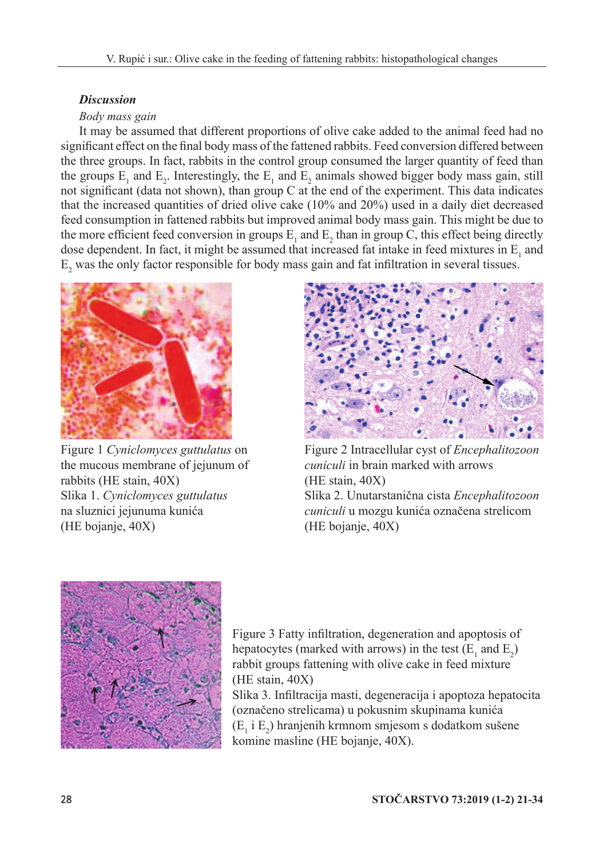## *Discussion*

## *Body mass gain*

It may be assumed that different proportions of olive cake added to the animal feed had no significant effect on the final body mass of the fattened rabbits. Feed conversion differed between the three groups. In fact, rabbits in the control group consumed the larger quantity of feed than the groups  $E_1$  and  $E_2$ . Interestingly, the  $E_1$  and  $E_2$  animals showed bigger body mass gain, still not significant (data not shown), than group C at the end of the experiment. This data indicates that the increased quantities of dried olive cake (10% and 20%) used in a daily diet decreased feed consumption in fattened rabbits but improved animal body mass gain. This might be due to the more efficient feed conversion in groups  $E_1$  and  $E_2$  than in group C, this effect being directly dose dependent. In fact, it might be assumed that increased fat intake in feed mixtures in  $E_1$  and  $E_2$  was the only factor responsible for body mass gain and fat infiltration in several tissues.



Figure 1 *Cyniclomyces guttulatus* on the mucous membrane of jejunum of rabbits (HE stain, 40X) Slika 1. *Cyniclomyces guttulatus*  na sluznici jejunuma kunića (HE bojanje, 40X)



Figure 2 Intracellular cyst of *Encephalitozoon cuniculi* in brain marked with arrows (HE stain, 40X) Slika 2. Unutarstanična cista *Encephalitozoon cuniculi* u mozgu kunića označena strelicom (HE bojanje, 40X)



Figure 3 Fatty infiltration, degeneration and apoptosis of hepatocytes (marked with arrows) in the test  $(E_1$  and  $E_2$ ) rabbit groups fattening with olive cake in feed mixture (HE stain, 40X)

Slika 3. Infiltracija masti, degeneracija i apoptoza hepatocita (označeno strelicama) u pokusnim skupinama kunića  $(E_1 \, i E_2)$  hranjenih krmnom smjesom s dodatkom sušene komine masline (HE bojanje, 40X).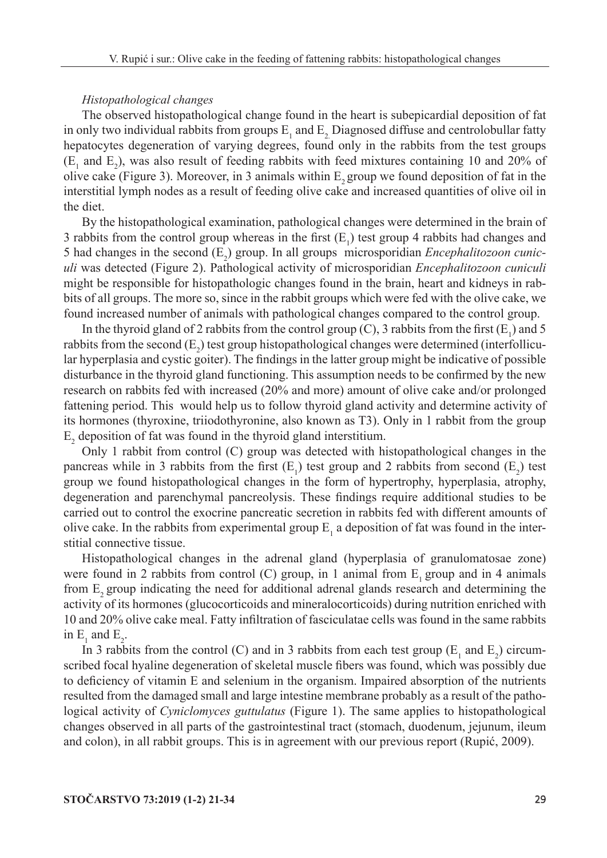#### *Histopathological changes*

The observed histopathological change found in the heart is subepicardial deposition of fat in only two individual rabbits from groups  $E_1$  and  $E_2$  Diagnosed diffuse and centrolobullar fatty hepatocytes degeneration of varying degrees, found only in the rabbits from the test groups  $(E_1$  and  $E_2$ ), was also result of feeding rabbits with feed mixtures containing 10 and 20% of olive cake (Figure 3). Moreover, in 3 animals within  $E<sub>2</sub>$  group we found deposition of fat in the interstitial lymph nodes as a result of feeding olive cake and increased quantities of olive oil in the diet.

By the histopathological examination, pathological changes were determined in the brain of 3 rabbits from the control group whereas in the first  $(E_1)$  test group 4 rabbits had changes and 5 had changes in the second  $(E_2)$  group. In all groups microsporidian *Encephalitozoon cuniculi* was detected (Figure 2). Pathological activity of microsporidian *Encephalitozoon cuniculi* might be responsible for histopathologic changes found in the brain, heart and kidneys in rabbits of all groups. The more so, since in the rabbit groups which were fed with the olive cake, we found increased number of animals with pathological changes compared to the control group.

In the thyroid gland of 2 rabbits from the control group (C), 3 rabbits from the first  $(E_1)$  and 5 rabbits from the second  $(E_2)$  test group histopathological changes were determined (interfollicular hyperplasia and cystic goiter). The findings in the latter group might be indicative of possible disturbance in the thyroid gland functioning. This assumption needs to be confirmed by the new research on rabbits fed with increased (20% and more) amount of olive cake and/or prolonged fattening period. This would help us to follow thyroid gland activity and determine activity of its hormones (thyroxine, triiodothyronine, also known as T3). Only in 1 rabbit from the group  $E_2$  deposition of fat was found in the thyroid gland interstitium.

Only 1 rabbit from control (C) group was detected with histopathological changes in the pancreas while in 3 rabbits from the first  $(E_1)$  test group and 2 rabbits from second  $(E_2)$  test group we found histopathological changes in the form of hypertrophy, hyperplasia, atrophy, degeneration and parenchymal pancreolysis. These findings require additional studies to be carried out to control the exocrine pancreatic secretion in rabbits fed with different amounts of olive cake. In the rabbits from experimental group  $E_1$  a deposition of fat was found in the interstitial connective tissue.

Histopathological changes in the adrenal gland (hyperplasia of granulomatosae zone) were found in 2 rabbits from control (C) group, in 1 animal from  $E_1$  group and in 4 animals from  $E$ , group indicating the need for additional adrenal glands research and determining the activity of its hormones (glucocorticoids and mineralocorticoids) during nutrition enriched with 10 and 20% olive cake meal. Fatty infiltration of fasciculatae cells was found in the same rabbits in  $E_1$  and  $E_2$ .

In 3 rabbits from the control (C) and in 3 rabbits from each test group ( $E_1$  and  $E_2$ ) circumscribed focal hyaline degeneration of skeletal muscle fibers was found, which was possibly due to deficiency of vitamin E and selenium in the organism. Impaired absorption of the nutrients resulted from the damaged small and large intestine membrane probably as a result of the pathological activity of *Cyniclomyces guttulatus* (Figure 1). The same applies to histopathological changes observed in all parts of the gastrointestinal tract (stomach, duodenum, jejunum, ileum and colon), in all rabbit groups. This is in agreement with our previous report (Rupić, 2009).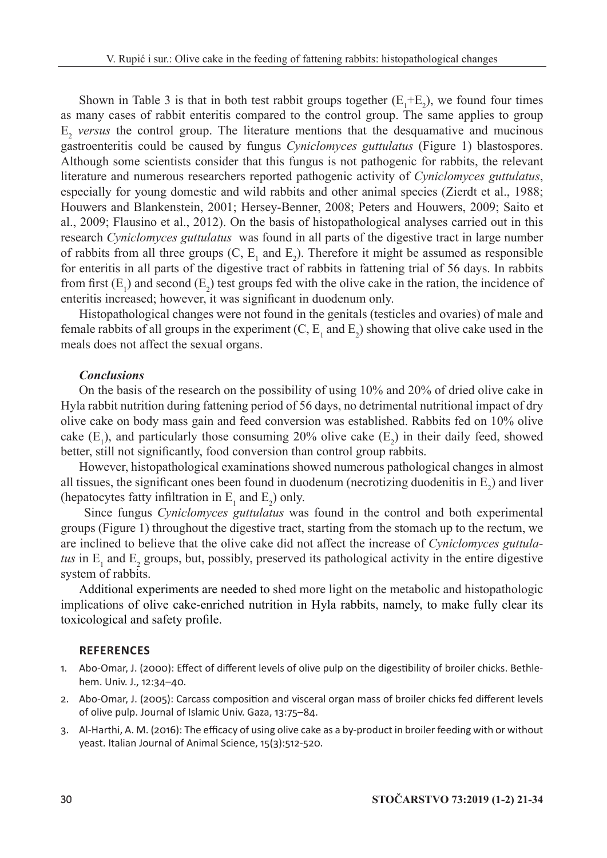Shown in Table 3 is that in both test rabbit groups together  $(E_1 + E_2)$ , we found four times as many cases of rabbit enteritis compared to the control group. The same applies to group E<sup>2</sup> *versus* the control group. The literature mentions that the desquamative and mucinous gastroenteritis could be caused by fungus *Cyniclomyces guttulatus* (Figure 1) blastospores. Although some scientists consider that this fungus is not pathogenic for rabbits, the relevant literature and numerous researchers reported pathogenic activity of *Cyniclomyces guttulatus*, especially for young domestic and wild rabbits and other animal species (Zierdt et al., 1988; Houwers and Blankenstein, 2001; Hersey-Benner, 2008; Peters and Houwers, 2009; Saito et al., 2009; Flausino et al., 2012). On the basis of histopathological analyses carried out in this research *Cyniclomyces guttulatus* was found in all parts of the digestive tract in large number of rabbits from all three groups  $(C, E_1$  and  $E_2)$ . Therefore it might be assumed as responsible for enteritis in all parts of the digestive tract of rabbits in fattening trial of 56 days. In rabbits from first  $(E_1)$  and second  $(E_2)$  test groups fed with the olive cake in the ration, the incidence of enteritis increased; however, it was significant in duodenum only.

Histopathological changes were not found in the genitals (testicles and ovaries) of male and female rabbits of all groups in the experiment  $(C, E_1$  and  $E_2$ ) showing that olive cake used in the meals does not affect the sexual organs.

## *Conclusions*

On the basis of the research on the possibility of using 10% and 20% of dried olive cake in Hyla rabbit nutrition during fattening period of 56 days, no detrimental nutritional impact of dry olive cake on body mass gain and feed conversion was established. Rabbits fed on 10% olive cake  $(E_1)$ , and particularly those consuming 20% olive cake  $(E_2)$  in their daily feed, showed better, still not significantly, food conversion than control group rabbits.

However, histopathological examinations showed numerous pathological changes in almost all tissues, the significant ones been found in duodenum (necrotizing duodenitis in  $E_2$ ) and liver (hepatocytes fatty infiltration in  $E_1$  and  $E_2$ ) only.

 Since fungus *Cyniclomyces guttulatus* was found in the control and both experimental groups (Figure 1) throughout the digestive tract, starting from the stomach up to the rectum, we are inclined to believe that the olive cake did not affect the increase of *Cyniclomyces guttula*tus in  $E_1$  and  $E_2$  groups, but, possibly, preserved its pathological activity in the entire digestive system of rabbits.

Additional experiments are needed to shed more light on the metabolic and histopathologic implications of olive cake-enriched nutrition in Hyla rabbits, namely, to make fully clear its toxicological and safety profile.

### **References**

- 1. Abo-Omar, J. (2000): Effect of different levels of olive pulp on the digestibility of broiler chicks. Bethlehem. Univ. J., 12:34–40.
- 2. Abo-Omar, J. (2005): Carcass composition and visceral organ mass of broiler chicks fed different levels of olive pulp. Journal of Islamic Univ. Gaza, 13:75–84.
- 3. Al-Harthi, A. M. (2016): The efficacy of using olive cake as a by-product in broiler feeding with or without yeast. Italian Journal of Animal Science, 15(3):512-520.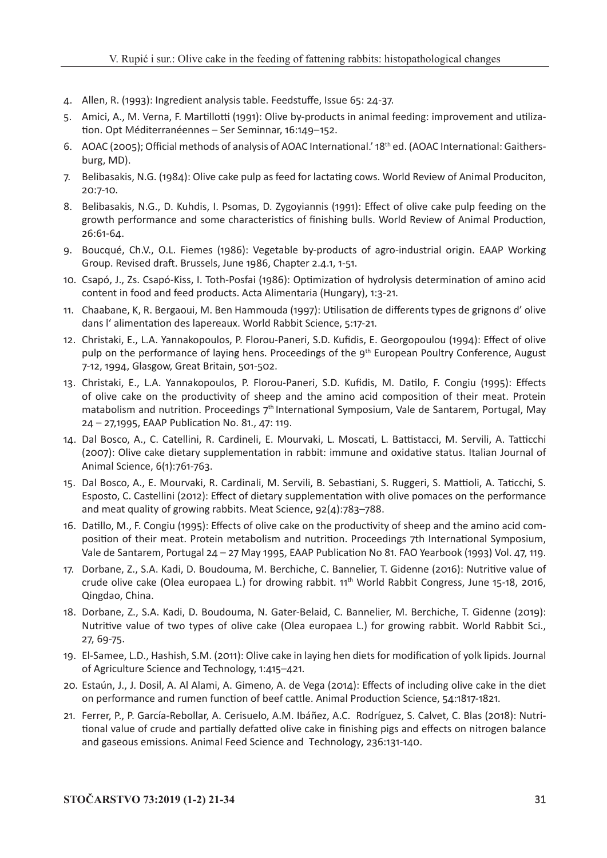- 4. Allen, R. (1993): Ingredient analysis table. Feedstuffe, Issue 65: 24-37.
- 5. Amici, A., M. Verna, F. Martillotti (1991): Olive by-products in animal feeding: improvement and utilization. Opt Méditerranéennes – Ser Seminnar, 16:149–152.
- 6. AOAC (2005); Official methods of analysis of AOAC International.' 18th ed. (AOAC International: Gaithersburg, MD).
- 7. Belibasakis, N.G. (1984): Olive cake pulp as feed for lactating cows. World Review of Animal Produciton, 20:7-10.
- 8. Belibasakis, N.G., D. Kuhdis, I. Psomas, D. Zygoyiannis (1991): Effect of olive cake pulp feeding on the growth performance and some characteristics of finishing bulls. World Review of Animal Production, 26:61-64.
- 9. Boucqué, Ch.V., O.L. Fiemes (1986): Vegetable by-products of agro-industrial origin. EAAP Working Group. Revised draft. Brussels, June 1986, Chapter 2.4.1, 1-51.
- 10. Csapó, J., Zs. Csapó-Kiss, I. Toth-Posfai (1986): Optimization of hydrolysis determination of amino acid content in food and feed products. Acta Alimentaria (Hungary), 1:3-21.
- 11. Chaabane, K, R. Bergaoui, M. Ben Hammouda (1997): Utilisation de differents types de grignons d' olive dans l' alimentation des lapereaux. World Rabbit Science, 5:17-21.
- 12. Christaki, E., L.A. Yannakopoulos, P. Florou-Paneri, S.D. Kufidis, E. Georgopoulou (1994): Effect of olive pulp on the performance of laying hens. Proceedings of the 9<sup>th</sup> European Poultry Conference, August 7-12, 1994, Glasgow, Great Britain, 501-502.
- 13. Christaki, E., L.A. Yannakopoulos, P. Florou-Paneri, S.D. Kufidis, M. Datilo, F. Congiu (1995): Effects of olive cake on the productivity of sheep and the amino acid composition of their meat. Protein matabolism and nutrition. Proceedings 7<sup>th</sup> International Symposium, Vale de Santarem, Portugal, May 24 – 27,1995, EAAP Publication No. 81., 47: 119.
- 14. Dal Bosco, A., C. Catellini, R. Cardineli, E. Mourvaki, L. Moscati, L. Battistacci, M. Servili, A. Tatticchi (2007): Olive cake dietary supplementation in rabbit: immune and oxidative status. Italian Journal of Animal Science, 6(1):761-763.
- 15. Dal Bosco, A., E. Mourvaki, R. Cardinali, M. Servili, B. Sebastiani, S. Ruggeri, S. Mattioli, A. Taticchi, S. Esposto, C. Castellini (2012): Effect of dietary supplementation with olive pomaces on the performance and meat quality of growing rabbits. Meat Science, 92(4):783–788.
- 16. Datillo, M., F. Congiu (1995): Effects of olive cake on the productivity of sheep and the amino acid composition of their meat. Protein metabolism and nutrition. Proceedings 7th International Symposium, Vale de Santarem, Portugal 24 – 27 May 1995, EAAP Publication No 81. FAO Yearbook (1993) Vol. 47, 119.
- 17. Dorbane, Z., S.A. Kadi, D. Boudouma, M. Berchiche, C. Bannelier, T. Gidenne (2016): Nutritive value of crude olive cake (Olea europaea L.) for drowing rabbit. 11<sup>th</sup> World Rabbit Congress, June 15-18, 2016, Qingdao, China.
- 18. Dorbane, Z., S.A. Kadi, D. Boudouma, N. Gater-Belaid, C. Bannelier, M. Berchiche, T. Gidenne (2019): Nutritive value of two types of olive cake (Olea europaea L.) for growing rabbit. World Rabbit Sci., 27, 69-75.
- 19. El-Samee, L.D., Hashish, S.M. (2011): Olive cake in laying hen diets for modification of yolk lipids. Journal of Agriculture Science and Technology, 1:415–421.
- 20. Estaún, J., J. Dosil, A. Al Alami, A. Gimeno, A. de Vega (2014): Effects of including olive cake in the diet on performance and rumen function of beef cattle. Animal Production Science, 54:1817-1821.
- 21. Ferrer, P., P. García-Rebollar, A. Cerisuelo, A.M. Ibáñez, A.C. Rodríguez, S. Calvet, C. Blas (2018): Nutritional value of crude and partially defatted olive cake in finishing pigs and effects on nitrogen balance and gaseous emissions. Animal Feed Science and Technology, 236:131-140.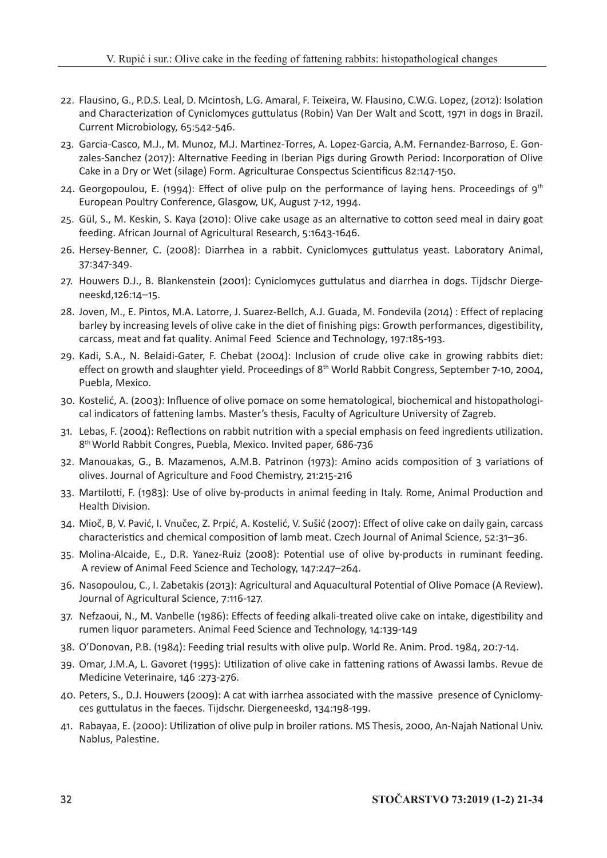- 22. Flausino, G., P.D.S. Leal, D. Mcintosh, L.G. Amaral, F. Teixeira, W. Flausino, C.W.G. Lopez, (2012): Isolation and Characterization of Cyniclomyces guttulatus (Robin) Van Der Walt and Scott, 1971 in dogs in Brazil. Current Microbiology, 65:542-546.
- 23. Garcia-Casco, M.J., M. Munoz, M.J. Martinez-Torres, A. Lopez-Garcia, A.M. Fernandez-Barroso, E. Gonzales-Sanchez (2017): Alternative Feeding in Iberian Pigs during Growth Period: Incorporation of Olive Cake in a Dry or Wet (silage) Form. Agriculturae Conspectus Scientificus 82:147-150.
- 24. Georgopoulou, E. (1994): Effect of olive pulp on the performance of laying hens. Proceedings of  $9<sup>th</sup>$ European Poultry Conference, Glasgow, UK, August 7-12, 1994.
- 25. Gül, S., M. Keskin, S. Kaya (2010): Olive cake usage as an alternative to cotton seed meal in dairy goat feeding. African Journal of Agricultural Research, 5:1643-1646.
- 26. Hersey-Benner, C. (2008): Diarrhea in a rabbit. Cyniclomyces guttulatus yeast. Laboratory Animal, 37:347-349.
- 27. Houwers D.J., B. Blankenstein (2001): Cyniclomyces guttulatus and diarrhea in dogs. Tijdschr Diergeneeskd,126:14–15.
- 28. Joven, M., E. Pintos, M.A. Latorre, J. Suarez-Bellch, A.J. Guada, M. Fondevila (2014) : Effect of replacing barley by increasing levels of olive cake in the diet of finishing pigs: Growth performances, digestibility, carcass, meat and fat quality. Animal Feed Science and Technology, 197:185-193.
- 29. Kadi, S.A., N. Belaidi-Gater, F. Chebat (2004): Inclusion of crude olive cake in growing rabbits diet: effect on growth and slaughter yield. Proceedings of 8<sup>th</sup> World Rabbit Congress, September 7-10, 2004, Puebla, Mexico.
- 30. Kostelić, A. (2003): Influence of olive pomace on some hematological, biochemical and histopathological indicators of fattening lambs. Master's thesis, Faculty of Agriculture University of Zagreb.
- 31. Lebas, F. (2004): Reflections on rabbit nutrition with a special emphasis on feed ingredients utilization. 8th World Rabbit Congres, Puebla, Mexico. Invited paper, 686-736
- 32. Manouakas, G., B. Mazamenos, A.M.B. Patrinon (1973): Amino acids composition of 3 variations of olives. Journal of Agriculture and Food Chemistry, 21:215-216
- 33. Martilotti, F. (1983): Use of olive by-products in animal feeding in Italy. Rome, Animal Production and Health Division.
- 34. Mioč, B, V. Pavić, I. Vnučec, Z. Prpić, A. Kostelić, V. Sušić (2007): Effect of olive cake on daily gain, carcass characteristics and chemical composition of lamb meat. Czech Journal of Animal Science, 52:31–36.
- 35. Molina-Alcaide, E., D.R. Yanez-Ruiz (2008): Potential use of olive by-products in ruminant feeding. A review of Animal Feed Science and Techology, 147:247–264.
- 36. Nasopoulou, C., I. Zabetakis (2013): Agricultural and Aquacultural Potential of Olive Pomace (A Review). Journal of Agricultural Science, 7:116-127.
- 37. Nefzaoui, N., M. Vanbelle (1986): Effects of feeding alkali-treated olive cake on intake, digestibility and rumen liquor parameters. Animal Feed Science and Technology, 14:139-149
- 38. O'Donovan, P.B. (1984): Feeding trial results with olive pulp. World Re. Anim. Prod. 1984, 20:7-14.
- 39. Omar, J.M.A, L. Gavoret (1995): Utilization of olive cake in fattening rations of Awassi lambs. Revue de Medicine Veterinaire, 146 :273-276.
- 40. Peters, S., D.J. Houwers (2009): A cat with iarrhea associated with the massive presence of Cyniclomyces guttulatus in the faeces. Tijdschr. Diergeneeskd, 134:198-199.
- 41. Rabayaa, E. (2000): Utilization of olive pulp in broiler rations. MS Thesis, 2000, An-Najah National Univ. Nablus, Palestine.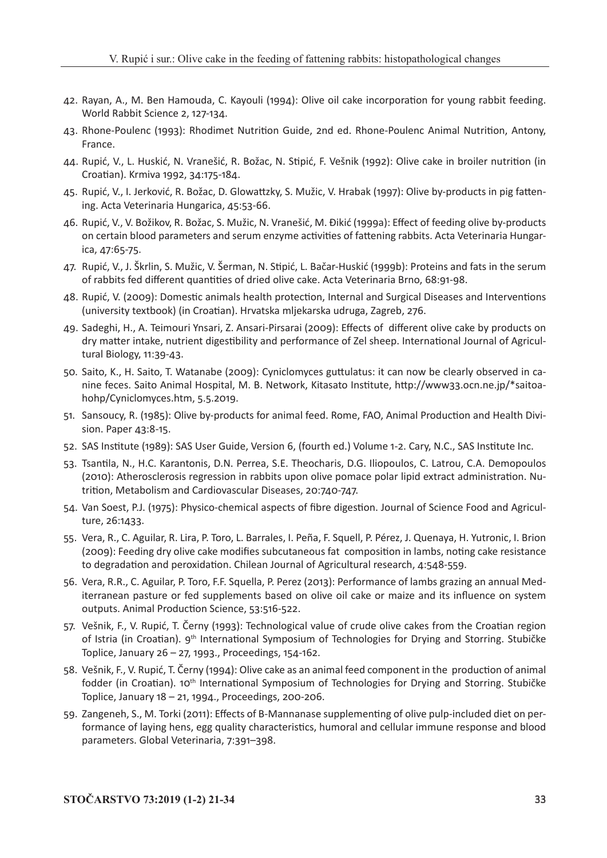- 42. Rayan, A., M. Ben Hamouda, C. Kayouli (1994): Olive oil cake incorporation for young rabbit feeding. World Rabbit Science 2, 127-134.
- 43. Rhone-Poulenc (1993): Rhodimet Nutrition Guide, 2nd ed. Rhone-Poulenc Animal Nutrition, Antony, France.
- 44. Rupić, V., L. Huskić, N. Vranešić, R. Božac, N. Stipić, F. Vešnik (1992): Olive cake in broiler nutrition (in Croatian). Krmiva 1992, 34:175-184.
- 45. Rupić, V., I. Jerković, R. Božac, D. Glowattzky, S. Mužic, V. Hrabak (1997): Olive by-products in pig fattening. Acta Veterinaria Hungarica, 45:53-66.
- 46. Rupić, V., V. Božikov, R. Božac, S. Mužic, N. Vranešić, M. Đikić (1999a): Effect of feeding olive by-products on certain blood parameters and serum enzyme activities of fattening rabbits. Acta Veterinaria Hungarica, 47:65-75.
- 47. Rupić, V., J. Škrlin, S. Mužic, V. Šerman, N. Stipić, L. Bačar-Huskić (1999b): Proteins and fats in the serum of rabbits fed different quantities of dried olive cake. Acta Veterinaria Brno, 68:91-98.
- 48. Rupić, V. (2009): Domestic animals health protection, Internal and Surgical Diseases and Interventions (university textbook) (in Croatian). Hrvatska mljekarska udruga, Zagreb, 276.
- 49. Sadeghi, H., A. Teimouri Ynsari, Z. Ansari-Pirsarai (2009): Effects of different olive cake by products on dry matter intake, nutrient digestibility and performance of Zel sheep. International Journal of Agricultural Biology, 11:39-43.
- 50. Saito, K., H. Saito, T. Watanabe (2009): Cyniclomyces guttulatus: it can now be clearly observed in canine feces. Saito Animal Hospital, M. B. Network, Kitasato Institute, http://www33.ocn.ne.jp/\*saitoahohp/Cyniclomyces.htm, 5.5.2019.
- 51. Sansoucy, R. (1985): Olive by-products for animal feed. Rome, FAO, Animal Production and Health Division. Paper 43:8-15.
- 52. SAS Institute (1989): SAS User Guide, Version 6, (fourth ed.) Volume 1-2. Cary, N.C., SAS Institute Inc.
- 53. Tsantila, N., H.C. Karantonis, D.N. Perrea, S.E. Theocharis, D.G. Iliopoulos, C. Latrou, C.A. Demopoulos (2010): Atherosclerosis regression in rabbits upon olive pomace polar lipid extract administration. Nutrition, Metabolism and Cardiovascular Diseases, 20:740-747.
- 54. Van Soest, P.J. (1975): Physico-chemical aspects of fibre digestion. Journal of Science Food and Agriculture, 26:1433.
- 55. Vera, R., C. Aguilar, R. Lira, P. Toro, L. Barrales, I. Peña, F. Squell, P. Pérez, J. Quenaya, H. Yutronic, I. Brion (2009): Feeding dry olive cake modifies subcutaneous fat composition in lambs, noting cake resistance to degradation and peroxidation. Chilean Journal of Agricultural research, 4:548-559.
- 56. Vera, R.R., C. Aguilar, P. Toro, F.F. Squella, P. Perez (2013): Performance of lambs grazing an annual Mediterranean pasture or fed supplements based on olive oil cake or maize and its influence on system outputs. Animal Production Science, 53:516-522.
- 57. Vešnik, F., V. Rupić, T. Černy (1993): Technological value of crude olive cakes from the Croatian region of Istria (in Croatian). 9<sup>th</sup> International Symposium of Technologies for Drying and Storring. Stubičke Toplice, January 26 – 27, 1993., Proceedings, 154-162.
- 58. Vešnik, F., V. Rupić, T. Černy (1994): Olive cake as an animal feed component in the production of animal fodder (in Croatian). 10<sup>th</sup> International Symposium of Technologies for Drying and Storring. Stubičke Toplice, January 18 – 21, 1994., Proceedings, 200-206.
- 59. Zangeneh, S., M. Torki (2011): Effects of B-Mannanase supplementing of olive pulp-included diet on performance of laying hens, egg quality characteristics, humoral and cellular immune response and blood parameters. Global Veterinaria, 7:391–398.